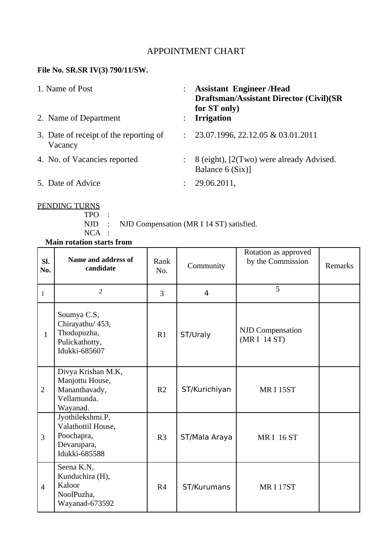### APPOINTMENT CHART

## **File No. SR.SR IV(3) 790/11/SW.**

| 1. Name of Post |                                                   |                | <b>Assistant Engineer/Head</b><br><b>Draftsman/Assistant Director (Civil)(SR</b><br>for ST only) |
|-----------------|---------------------------------------------------|----------------|--------------------------------------------------------------------------------------------------|
|                 | 2. Name of Department                             |                | <b>Irrigation</b>                                                                                |
|                 | 3. Date of receipt of the reporting of<br>Vacancy | $\ddot{\cdot}$ | 23.07.1996, 22.12.05 & 03.01.2011                                                                |
|                 | 4. No. of Vacancies reported                      |                | 8 (eight), [2(Two) were already Advised.<br>Balance 6 (Six)]                                     |
|                 | 5. Date of Advice                                 |                | 29.06.2011,                                                                                      |

#### PENDING TURNS

TPO :

NJD : NJD Compensation (MR I 14 ST) satisfied.

NCA :

| <b>Main rotation starts from</b> |                                                                                      |                |                |                                           |         |  |  |
|----------------------------------|--------------------------------------------------------------------------------------|----------------|----------------|-------------------------------------------|---------|--|--|
| SI.<br>No.                       | Name and address of<br>candidate                                                     | Rank<br>No.    | Community      | Rotation as approved<br>by the Commission | Remarks |  |  |
| $\mathbf{1}$                     | $\overline{2}$                                                                       | 3              | $\overline{4}$ | 5                                         |         |  |  |
| $\mathbf{1}$                     | Soumya C.S,<br>Chirayathu/ 453,<br>Thodupuzha,<br>Pulickathotty,<br>Idukki-685607    | R1             | ST/Uraly       | <b>NJD Compensation</b><br>(MR I 14 ST)   |         |  |  |
| $\overline{2}$                   | Divya Krishan M.K,<br>Manjottu House,<br>Mananthavady,<br>Vellamunda.<br>Wayanad.    | R <sub>2</sub> | ST/Kurichiyan  | <b>MRI 15ST</b>                           |         |  |  |
| $\overline{3}$                   | Jyothilekshmi.P,<br>Valathottil House,<br>Poochapra,<br>Devarupara,<br>Idukki-685588 | R <sub>3</sub> | ST/Mala Araya  | <b>MRI 16 ST</b>                          |         |  |  |
| $\overline{4}$                   | Seena K.N,<br>Kunduchira (H),<br>Kaloor<br>NoolPuzha,<br>Wayanad-673592              | R <sub>4</sub> | ST/Kurumans    | <b>MRI17ST</b>                            |         |  |  |